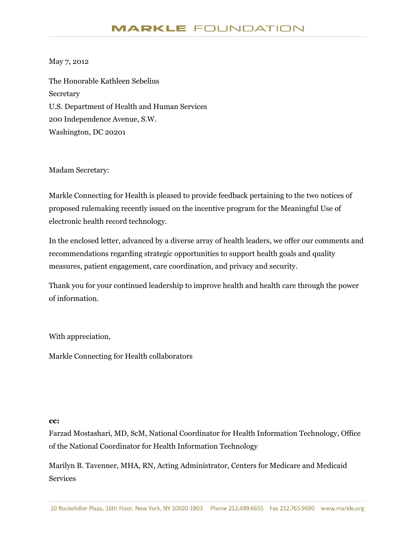#### May 7, 2012

The Honorable Kathleen Sebelius **Secretary** U.S. Department of Health and Human Services 200 Independence Avenue, S.W. Washington, DC 20201

Madam Secretary:

Markle Connecting for Health is pleased to provide feedback pertaining to the two notices of proposed rulemaking recently issued on the incentive program for the Meaningful Use of electronic health record technology.

In the enclosed letter, advanced by a diverse array of health leaders, we offer our comments and recommendations regarding strategic opportunities to support health goals and quality measures, patient engagement, care coordination, and privacy and security.

Thank you for your continued leadership to improve health and health care through the power of information.

With appreciation,

Markle Connecting for Health collaborators

#### **cc:**

Farzad Mostashari, MD, ScM, National Coordinator for Health Information Technology, Office of the National Coordinator for Health Information Technology

Marilyn B. Tavenner, MHA, RN, Acting Administrator, Centers for Medicare and Medicaid Services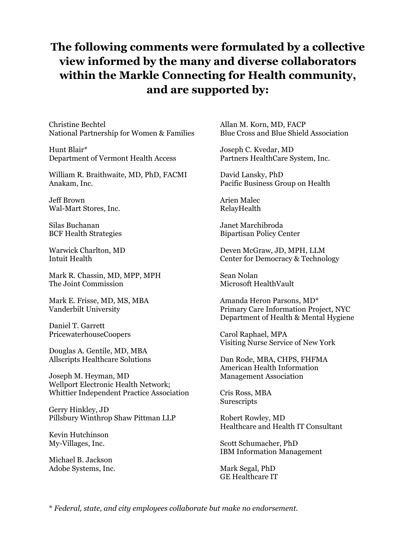# **The following comments were formulated by a collective view informed by the many and diverse collaborators within the Markle Connecting for Health community, and are supported by:**

Christine Bechtel National Partnership for Women & Families

Hunt Blair\* Department of Vermont Health Access

William R. Braithwaite, MD, PhD, FACMI Anakam, Inc.

Jeff Brown Wal-Mart Stores, Inc.

Silas Buchanan BCF Health Strategies

Warwick Charlton, MD Intuit Health

Mark R. Chassin, MD, MPP, MPH The Joint Commission

Mark E. Frisse, MD, MS, MBA Vanderbilt University

Daniel T. Garrett PricewaterhouseCoopers

Douglas A. Gentile, MD, MBA Allscripts Healthcare Solutions

Joseph M. Heyman, MD Wellport Electronic Health Network; Whittier Independent Practice Association

Gerry Hinkley, JD Pillsbury Winthrop Shaw Pittman LLP

Kevin Hutchinson My-Villages, Inc.

Michael B. Jackson Adobe Systems, Inc. Allan M. Korn, MD, FACP Blue Cross and Blue Shield Association

Joseph C. Kvedar, MD Partners HealthCare System, Inc.

David Lansky, PhD Pacific Business Group on Health

Arien Malec RelayHealth

Janet Marchibroda Bipartisan Policy Center

Deven McGraw, JD, MPH, LLM Center for Democracy & Technology

Sean Nolan Microsoft HealthVault

Amanda Heron Parsons, MD\* Primary Care Information Project, NYC Department of Health & Mental Hygiene

Carol Raphael, MPA Visiting Nurse Service of New York

Dan Rode, MBA, CHPS, FHFMA American Health Information Management Association

Cris Ross, MBA **Surescripts** 

Robert Rowley, MD Healthcare and Health IT Consultant

Scott Schumacher, PhD IBM Information Management

Mark Segal, PhD GE Healthcare IT

\* *Federal, state, and city employees collaborate but make no endorsement.*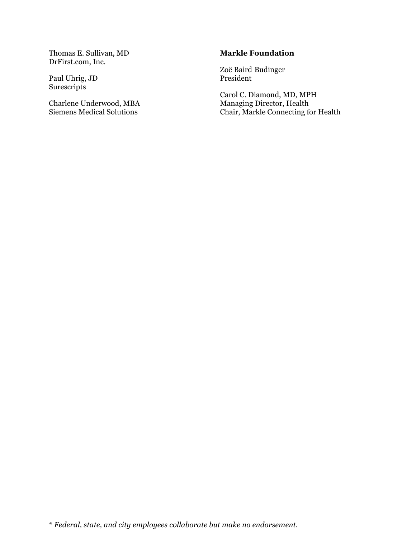Thomas E. Sullivan, MD DrFirst.com, Inc.

Paul Uhrig, JD Surescripts

Charlene Underwood, MBA Siemens Medical Solutions

#### **Markle Foundation**

Zoë Baird Budinger President

Carol C. Diamond, MD, MPH Managing Director, Health Chair, Markle Connecting for Health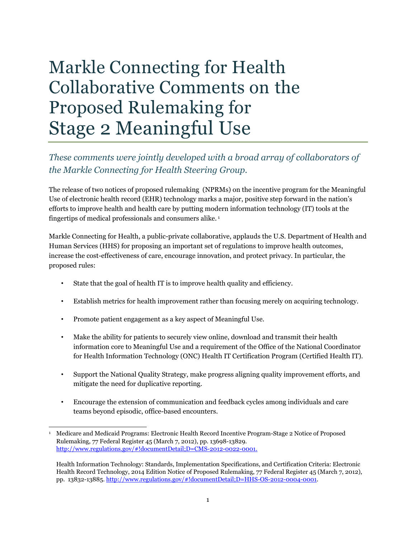# Markle Connecting for Health Collaborative Comments on the Proposed Rulemaking for Stage 2 Meaningful Use

## *These comments were jointly developed with a broad array of collaborators of the Markle Connecting for Health Steering Group.*

The release of two notices of proposed rulemaking (NPRMs) on the incentive program for the Meaningful Use of electronic health record (EHR) technology marks a major, positive step forward in the nation's efforts to improve health and health care by putting modern information technology (IT) tools at the fingertips of medical professionals and consumers alike. <sup>1</sup>

Markle Connecting for Health, a public-private collaborative, applauds the U.S. Department of Health and Human Services (HHS) for proposing an important set of regulations to improve health outcomes, increase the cost-effectiveness of care, encourage innovation, and protect privacy. In particular, the proposed rules:

- State that the goal of health IT is to improve health quality and efficiency.
- Establish metrics for health improvement rather than focusing merely on acquiring technology.
- Promote patient engagement as a key aspect of Meaningful Use.
- Make the ability for patients to securely view online, download and transmit their health information core to Meaningful Use and a requirement of the Office of the National Coordinator for Health Information Technology (ONC) Health IT Certification Program (Certified Health IT).
- Support the National Quality Strategy, make progress aligning quality improvement efforts, and mitigate the need for duplicative reporting.
- Encourage the extension of communication and feedback cycles among individuals and care teams beyond episodic, office-based encounters.

 $\overline{a}$ 1 Medicare and Medicaid Programs: Electronic Health Record Incentive Program-Stage 2 Notice of Proposed Rulemaking, 77 Federal Register 45 (March 7, 2012), pp. 13698-13829. [http://www.regulations.gov/#!documentDetail;D=CMS-2012-0022-0001.](http://www.regulations.gov/#!documentDetail;D=CMS-2012-0022-0001)

Health Information Technology: Standards, Implementation Specifications, and Certification Criteria: Electronic Health Record Technology, 2014 Edition Notice of Proposed Rulemaking, 77 Federal Register 45 (March 7, 2012), pp. 13832-13885[. http://www.regulations.gov/#!documentDetail;D=HHS-OS-2012-0004-0001.](http://www.regulations.gov/#!documentDetail;D=HHS-OS-2012-0004-0001)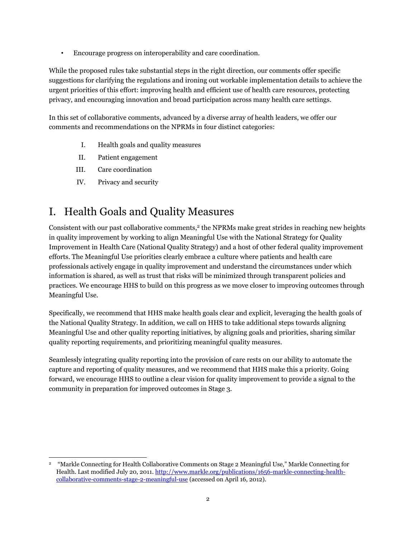• Encourage progress on interoperability and care coordination.

While the proposed rules take substantial steps in the right direction, our comments offer specific suggestions for clarifying the regulations and ironing out workable implementation details to achieve the urgent priorities of this effort: improving health and efficient use of health care resources, protecting privacy, and encouraging innovation and broad participation across many health care settings.

In this set of collaborative comments, advanced by a diverse array of health leaders, we offer our comments and recommendations on the NPRMs in four distinct categories:

- I. Health goals and quality measures
- II. Patient engagement
- III. Care coordination
- IV. Privacy and security

# I. Health Goals and Quality Measures

Consistent with our past collaborative comments,<sup>2</sup> the NPRMs make great strides in reaching new heights in quality improvement by working to align Meaningful Use with the National Strategy for Quality Improvement in Health Care (National Quality Strategy) and a host of other federal quality improvement efforts. The Meaningful Use priorities clearly embrace a culture where patients and health care professionals actively engage in quality improvement and understand the circumstances under which information is shared, as well as trust that risks will be minimized through transparent policies and practices. We encourage HHS to build on this progress as we move closer to improving outcomes through Meaningful Use.

Specifically, we recommend that HHS make health goals clear and explicit, leveraging the health goals of the National Quality Strategy. In addition, we call on HHS to take additional steps towards aligning Meaningful Use and other quality reporting initiatives, by aligning goals and priorities, sharing similar quality reporting requirements, and prioritizing meaningful quality measures.

Seamlessly integrating quality reporting into the provision of care rests on our ability to automate the capture and reporting of quality measures, and we recommend that HHS make this a priority. Going forward, we encourage HHS to outline a clear vision for quality improvement to provide a signal to the community in preparation for improved outcomes in Stage 3.

 $\overline{a}$ <sup>2</sup> "Markle Connecting for Health Collaborative Comments on Stage 2 Meaningful Use," Markle Connecting for Health. Last modified July 20, 2011[. http://www.markle.org/publications/1656-markle-connecting-health](http://www.markle.org/publications/1656-markle-connecting-health-collaborative-comments-stage-2-meaningful-use)[collaborative-comments-stage-2-meaningful-use](http://www.markle.org/publications/1656-markle-connecting-health-collaborative-comments-stage-2-meaningful-use) (accessed on April 16, 2012).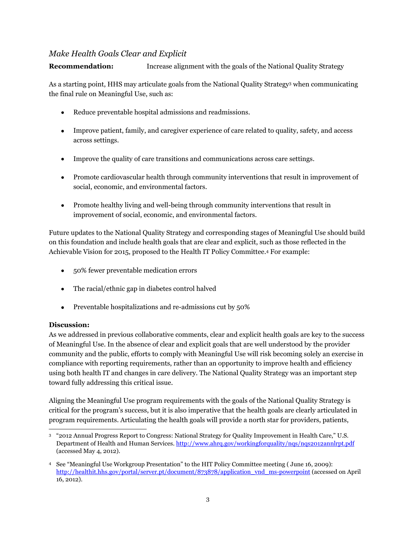#### *Make Health Goals Clear and Explicit*

#### **Recommendation:** Increase alignment with the goals of the National Quality Strategy

As a starting point, HHS may articulate goals from the National Quality Strategy<sup>3</sup> when communicating the final rule on Meaningful Use, such as:

- Reduce preventable hospital admissions and readmissions.
- Improve patient, family, and caregiver experience of care related to quality, safety, and access across settings.
- Improve the quality of care transitions and communications across care settings.
- Promote cardiovascular health through community interventions that result in improvement of social, economic, and environmental factors.
- Promote healthy living and well-being through community interventions that result in improvement of social, economic, and environmental factors.

Future updates to the National Quality Strategy and corresponding stages of Meaningful Use should build on this foundation and include health goals that are clear and explicit, such as those reflected in the Achievable Vision for 2015, proposed to the Health IT Policy Committee.<sup>4</sup> For example:

- 50% fewer preventable medication errors
- The racial/ethnic gap in diabetes control halved
- Preventable hospitalizations and re-admissions cut by 50%

#### **Discussion:**

As we addressed in previous collaborative comments, clear and explicit health goals are key to the success of Meaningful Use. In the absence of clear and explicit goals that are well understood by the provider community and the public, efforts to comply with Meaningful Use will risk becoming solely an exercise in compliance with reporting requirements, rather than an opportunity to improve health and efficiency using both health IT and changes in care delivery. The National Quality Strategy was an important step toward fully addressing this critical issue.

Aligning the Meaningful Use program requirements with the goals of the National Quality Strategy is critical for the program's success, but it is also imperative that the health goals are clearly articulated in program requirements. Articulating the health goals will provide a north star for providers, patients,

 $\overline{a}$ <sup>3</sup> "2012 Annual Progress Report to Congress: National Strategy for Quality Improvement in Health Care," U.S. Department of Health and Human Services[. http://www.ahrq.gov/workingforquality/nqs/nqs2012annlrpt.pdf](http://www.ahrq.gov/workingforquality/nqs/nqs2012annlrpt.pdf) (accessed May 4, 2012).

<sup>4</sup> See "Meaningful Use Workgroup Presentation" to the HIT Policy Committee meeting ( June 16, 2009): [http://healthit.hhs.gov/portal/server.pt/document/873878/application\\_vnd\\_ms-powerpoint](http://healthit.hhs.gov/portal/server.pt/document/873878/application_vnd_ms-powerpoint) (accessed on April 16, 2012).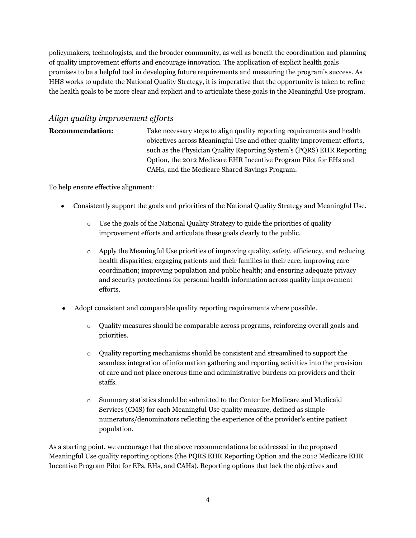policymakers, technologists, and the broader community, as well as benefit the coordination and planning of quality improvement efforts and encourage innovation. The application of explicit health goals promises to be a helpful tool in developing future requirements and measuring the program's success. As HHS works to update the National Quality Strategy, it is imperative that the opportunity is taken to refine the health goals to be more clear and explicit and to articulate these goals in the Meaningful Use program.

### *Align quality improvement efforts*

**Recommendation:** Take necessary steps to align quality reporting requirements and health objectives across Meaningful Use and other quality improvement efforts, such as the Physician Quality Reporting System's (PQRS) EHR Reporting Option, the 2012 Medicare EHR Incentive Program Pilot for EHs and CAHs, and the Medicare Shared Savings Program.

To help ensure effective alignment:

- Consistently support the goals and priorities of the National Quality Strategy and Meaningful Use.
	- o Use the goals of the National Quality Strategy to guide the priorities of quality improvement efforts and articulate these goals clearly to the public.
	- $\circ$  Apply the Meaningful Use priorities of improving quality, safety, efficiency, and reducing health disparities; engaging patients and their families in their care; improving care coordination; improving population and public health; and ensuring adequate privacy and security protections for personal health information across quality improvement efforts.
- Adopt consistent and comparable quality reporting requirements where possible.
	- $\circ$  Quality measures should be comparable across programs, reinforcing overall goals and priorities.
	- o Quality reporting mechanisms should be consistent and streamlined to support the seamless integration of information gathering and reporting activities into the provision of care and not place onerous time and administrative burdens on providers and their staffs.
	- o Summary statistics should be submitted to the Center for Medicare and Medicaid Services (CMS) for each Meaningful Use quality measure, defined as simple numerators/denominators reflecting the experience of the provider's entire patient population.

As a starting point, we encourage that the above recommendations be addressed in the proposed Meaningful Use quality reporting options (the PQRS EHR Reporting Option and the 2012 Medicare EHR Incentive Program Pilot for EPs, EHs, and CAHs). Reporting options that lack the objectives and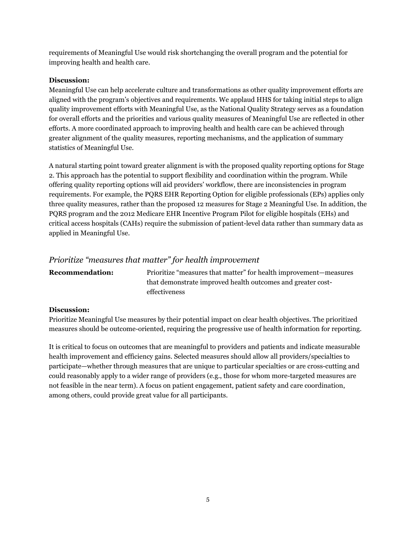requirements of Meaningful Use would risk shortchanging the overall program and the potential for improving health and health care.

#### **Discussion:**

Meaningful Use can help accelerate culture and transformations as other quality improvement efforts are aligned with the program's objectives and requirements. We applaud HHS for taking initial steps to align quality improvement efforts with Meaningful Use, as the National Quality Strategy serves as a foundation for overall efforts and the priorities and various quality measures of Meaningful Use are reflected in other efforts. A more coordinated approach to improving health and health care can be achieved through greater alignment of the quality measures, reporting mechanisms, and the application of summary statistics of Meaningful Use.

A natural starting point toward greater alignment is with the proposed quality reporting options for Stage 2. This approach has the potential to support flexibility and coordination within the program. While offering quality reporting options will aid providers' workflow, there are inconsistencies in program requirements. For example, the PQRS EHR Reporting Option for eligible professionals (EPs) applies only three quality measures, rather than the proposed 12 measures for Stage 2 Meaningful Use. In addition, the PQRS program and the 2012 Medicare EHR Incentive Program Pilot for eligible hospitals (EHs) and critical access hospitals (CAHs) require the submission of patient-level data rather than summary data as applied in Meaningful Use.

#### *Prioritize "measures that matter" for health improvement*

| <b>Recommendation:</b> | Prioritize "measures that matter" for health improvement—measures |
|------------------------|-------------------------------------------------------------------|
|                        | that demonstrate improved health outcomes and greater cost-       |
|                        | effectiveness                                                     |

#### **Discussion:**

Prioritize Meaningful Use measures by their potential impact on clear health objectives. The prioritized measures should be outcome-oriented, requiring the progressive use of health information for reporting.

It is critical to focus on outcomes that are meaningful to providers and patients and indicate measurable health improvement and efficiency gains. Selected measures should allow all providers/specialties to participate—whether through measures that are unique to particular specialties or are cross-cutting and could reasonably apply to a wider range of providers (e.g., those for whom more-targeted measures are not feasible in the near term). A focus on patient engagement, patient safety and care coordination, among others, could provide great value for all participants.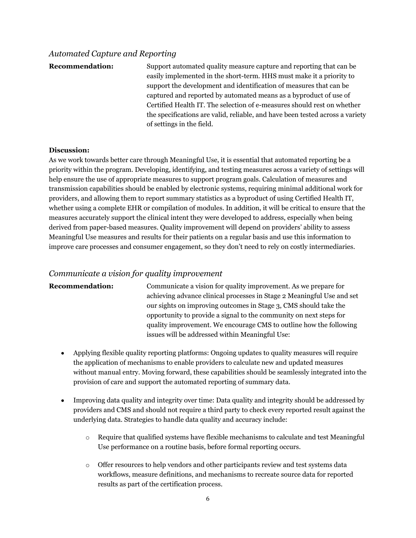#### *Automated Capture and Reporting*

**Recommendation:** Support automated quality measure capture and reporting that can be easily implemented in the short-term. HHS must make it a priority to support the development and identification of measures that can be captured and reported by automated means as a byproduct of use of Certified Health IT. The selection of e-measures should rest on whether the specifications are valid, reliable, and have been tested across a variety of settings in the field.

#### **Discussion:**

As we work towards better care through Meaningful Use, it is essential that automated reporting be a priority within the program. Developing, identifying, and testing measures across a variety of settings will help ensure the use of appropriate measures to support program goals. Calculation of measures and transmission capabilities should be enabled by electronic systems, requiring minimal additional work for providers, and allowing them to report summary statistics as a byproduct of using Certified Health IT, whether using a complete EHR or compilation of modules. In addition, it will be critical to ensure that the measures accurately support the clinical intent they were developed to address, especially when being derived from paper-based measures. Quality improvement will depend on providers' ability to assess Meaningful Use measures and results for their patients on a regular basis and use this information to improve care processes and consumer engagement, so they don't need to rely on costly intermediaries.

#### *Communicate a vision for quality improvement*

**Recommendation:** Communicate a vision for quality improvement. As we prepare for achieving advance clinical processes in Stage 2 Meaningful Use and set our sights on improving outcomes in Stage 3, CMS should take the opportunity to provide a signal to the community on next steps for quality improvement. We encourage CMS to outline how the following issues will be addressed within Meaningful Use:

- Applying flexible quality reporting platforms: Ongoing updates to quality measures will require the application of mechanisms to enable providers to calculate new and updated measures without manual entry. Moving forward, these capabilities should be seamlessly integrated into the provision of care and support the automated reporting of summary data.
- Improving data quality and integrity over time: Data quality and integrity should be addressed by providers and CMS and should not require a third party to check every reported result against the underlying data. Strategies to handle data quality and accuracy include:
	- o Require that qualified systems have flexible mechanisms to calculate and test Meaningful Use performance on a routine basis, before formal reporting occurs.
	- o Offer resources to help vendors and other participants review and test systems data workflows, measure definitions, and mechanisms to recreate source data for reported results as part of the certification process.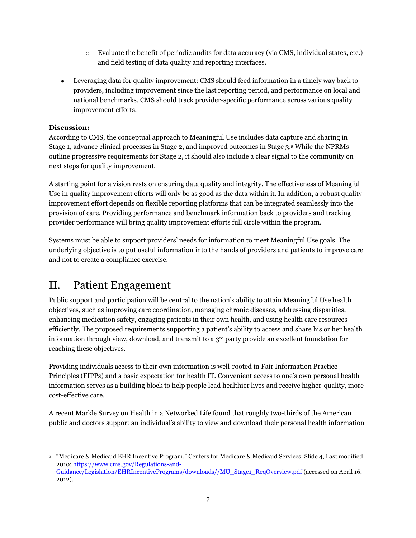- o Evaluate the benefit of periodic audits for data accuracy (via CMS, individual states, etc.) and field testing of data quality and reporting interfaces.
- Leveraging data for quality improvement: CMS should feed information in a timely way back to providers, including improvement since the last reporting period, and performance on local and national benchmarks. CMS should track provider-specific performance across various quality improvement efforts.

#### **Discussion:**

According to CMS, the conceptual approach to Meaningful Use includes data capture and sharing in Stage 1, advance clinical processes in Stage 2, and improved outcomes in Stage 3.<sup>5</sup> While the NPRMs outline progressive requirements for Stage 2, it should also include a clear signal to the community on next steps for quality improvement.

A starting point for a vision rests on ensuring data quality and integrity. The effectiveness of Meaningful Use in quality improvement efforts will only be as good as the data within it. In addition, a robust quality improvement effort depends on flexible reporting platforms that can be integrated seamlessly into the provision of care. Providing performance and benchmark information back to providers and tracking provider performance will bring quality improvement efforts full circle within the program.

Systems must be able to support providers' needs for information to meet Meaningful Use goals. The underlying objective is to put useful information into the hands of providers and patients to improve care and not to create a compliance exercise.

# II. Patient Engagement

Public support and participation will be central to the nation's ability to attain Meaningful Use health objectives, such as improving care coordination, managing chronic diseases, addressing disparities, enhancing medication safety, engaging patients in their own health, and using health care resources efficiently. The proposed requirements supporting a patient's ability to access and share his or her health information through view, download, and transmit to a  $3<sup>rd</sup>$  party provide an excellent foundation for reaching these objectives.

Providing individuals access to their own information is well-rooted in Fair Information Practice Principles (FIPPs) and a basic expectation for health IT. Convenient access to one's own personal health information serves as a building block to help people lead healthier lives and receive higher-quality, more cost-effective care.

A recent Markle Survey on Health in a Networked Life found that roughly two-thirds of the American public and doctors support an individual's ability to view and download their personal health information

 $\overline{a}$ <sup>5</sup> "Medicare & Medicaid EHR Incentive Program," Centers for Medicare & Medicaid Services. Slide 4, Last modified 2010[: https://www.cms.gov/Regulations-and-](https://www.cms.gov/Regulations-and-Guidance/Legislation/EHRIncentivePrograms/downloads/MU_Stage1_ReqOverview.pdf)[Guidance/Legislation/EHRIncentivePrograms/downloads//MU\\_Stage1\\_ReqOverview.pdf](https://www.cms.gov/Regulations-and-Guidance/Legislation/EHRIncentivePrograms/downloads/MU_Stage1_ReqOverview.pdf) (accessed on April 16, 2012).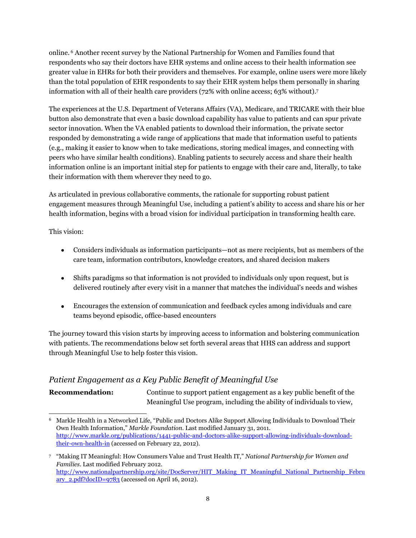online. <sup>6</sup> Another recent survey by the National Partnership for Women and Families found that respondents who say their doctors have EHR systems and online access to their health information see greater value in EHRs for both their providers and themselves. For example, online users were more likely than the total population of EHR respondents to say their EHR system helps them personally in sharing information with all of their health care providers (72% with online access; 63% without).<sup>7</sup>

The experiences at the U.S. Department of Veterans Affairs (VA), Medicare, and TRICARE with their blue button also demonstrate that even a basic download capability has value to patients and can spur private sector innovation. When the VA enabled patients to download their information, the private sector responded by demonstrating a wide range of applications that made that information useful to patients (e.g., making it easier to know when to take medications, storing medical images, and connecting with peers who have similar health conditions). Enabling patients to securely access and share their health information online is an important initial step for patients to engage with their care and, literally, to take their information with them wherever they need to go.

As articulated in previous collaborative comments, the rationale for supporting robust patient engagement measures through Meaningful Use, including a patient's ability to access and share his or her health information, begins with a broad vision for individual participation in transforming health care.

This vision:

- Considers individuals as information participants—not as mere recipients, but as members of the  $\bullet$ care team, information contributors, knowledge creators, and shared decision makers
- Shifts paradigms so that information is not provided to individuals only upon request, but is delivered routinely after every visit in a manner that matches the individual's needs and wishes
- Encourages the extension of communication and feedback cycles among individuals and care teams beyond episodic, office-based encounters

The journey toward this vision starts by improving access to information and bolstering communication with patients. The recommendations below set forth several areas that HHS can address and support through Meaningful Use to help foster this vision.

### *Patient Engagement as a Key Public Benefit of Meaningful Use*

**Recommendation:** Continue to support patient engagement as a key public benefit of the Meaningful Use program, including the ability of individuals to view,

 $\overline{a}$ <sup>6</sup> Markle Health in a Networked Life, "Public and Doctors Alike Support Allowing Individuals to Download Their Own Health Information," *Markle Foundation*. Last modified January 31, 2011. [http://www.markle.org/publications/1441-public-and-doctors-alike-support-allowing-individuals-download](http://www.markle.org/publications/1441-public-and-doctors-alike-support-allowing-individuals-download-their-own-health-in)[their-own-health-in](http://www.markle.org/publications/1441-public-and-doctors-alike-support-allowing-individuals-download-their-own-health-in) (accessed on February 22, 2012).

<sup>7</sup> "Making IT Meaningful: How Consumers Value and Trust Health IT," *National Partnership for Women and Families*. Last modified February 2012. [http://www.nationalpartnership.org/site/DocServer/HIT\\_Making\\_IT\\_Meaningful\\_National\\_Partnership\\_Febru](http://www.nationalpartnership.org/site/DocServer/HIT_Making_IT_Meaningful_National_Partnership_February_2.pdf?docID=9783)  $\frac{\text{arv}}{\text{2.pdf?docID} = 9783}$  (accessed on April 16, 2012).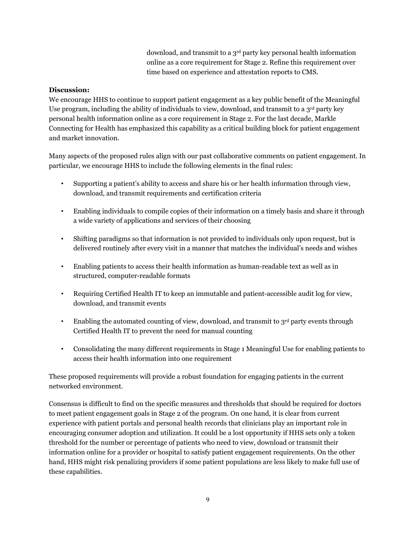download, and transmit to a 3rd party key personal health information online as a core requirement for Stage 2. Refine this requirement over time based on experience and attestation reports to CMS.

#### **Discussion:**

We encourage HHS to continue to support patient engagement as a key public benefit of the Meaningful Use program, including the ability of individuals to view, download, and transmit to a 3<sup>rd</sup> party key personal health information online as a core requirement in Stage 2. For the last decade, Markle Connecting for Health has emphasized this capability as a critical building block for patient engagement and market innovation.

Many aspects of the proposed rules align with our past collaborative comments on patient engagement. In particular, we encourage HHS to include the following elements in the final rules:

- Supporting a patient's ability to access and share his or her health information through view, download, and transmit requirements and certification criteria
- Enabling individuals to compile copies of their information on a timely basis and share it through a wide variety of applications and services of their choosing
- Shifting paradigms so that information is not provided to individuals only upon request, but is delivered routinely after every visit in a manner that matches the individual's needs and wishes
- Enabling patients to access their health information as human-readable text as well as in structured, computer-readable formats
- Requiring Certified Health IT to keep an immutable and patient-accessible audit log for view, download, and transmit events
- Enabling the automated counting of view, download, and transmit to 3rd party events through Certified Health IT to prevent the need for manual counting
- Consolidating the many different requirements in Stage 1 Meaningful Use for enabling patients to access their health information into one requirement

These proposed requirements will provide a robust foundation for engaging patients in the current networked environment.

Consensus is difficult to find on the specific measures and thresholds that should be required for doctors to meet patient engagement goals in Stage 2 of the program. On one hand, it is clear from current experience with patient portals and personal health records that clinicians play an important role in encouraging consumer adoption and utilization. It could be a lost opportunity if HHS sets only a token threshold for the number or percentage of patients who need to view, download or transmit their information online for a provider or hospital to satisfy patient engagement requirements. On the other hand, HHS might risk penalizing providers if some patient populations are less likely to make full use of these capabilities.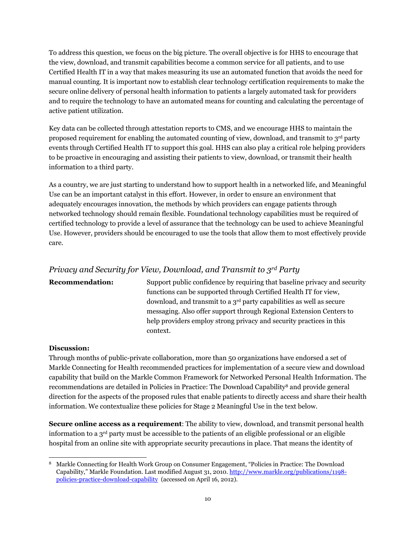To address this question, we focus on the big picture. The overall objective is for HHS to encourage that the view, download, and transmit capabilities become a common service for all patients, and to use Certified Health IT in a way that makes measuring its use an automated function that avoids the need for manual counting. It is important now to establish clear technology certification requirements to make the secure online delivery of personal health information to patients a largely automated task for providers and to require the technology to have an automated means for counting and calculating the percentage of active patient utilization.

Key data can be collected through attestation reports to CMS, and we encourage HHS to maintain the proposed requirement for enabling the automated counting of view, download, and transmit to 3<sup>rd</sup> party events through Certified Health IT to support this goal. HHS can also play a critical role helping providers to be proactive in encouraging and assisting their patients to view, download, or transmit their health information to a third party.

As a country, we are just starting to understand how to support health in a networked life, and Meaningful Use can be an important catalyst in this effort. However, in order to ensure an environment that adequately encourages innovation, the methods by which providers can engage patients through networked technology should remain flexible. Foundational technology capabilities must be required of certified technology to provide a level of assurance that the technology can be used to achieve Meaningful Use. However, providers should be encouraged to use the tools that allow them to most effectively provide care.

#### *Privacy and Security for View, Download, and Transmit to 3rd Party*

**Recommendation:** Support public confidence by requiring that baseline privacy and security functions can be supported through Certified Health IT for view, download, and transmit to a 3rd party capabilities as well as secure messaging. Also offer support through Regional Extension Centers to help providers employ strong privacy and security practices in this context.

#### **Discussion:**

Through months of public-private collaboration, more than 50 organizations have endorsed a set of Markle Connecting for Health recommended practices for implementation of a secure view and download capability that build on the Markle Common Framework for Networked Personal Health Information. The recommendations are detailed in Policies in Practice: The Download Capability<sup>8</sup> and provide general direction for the aspects of the proposed rules that enable patients to directly access and share their health information. We contextualize these policies for Stage 2 Meaningful Use in the text below.

**Secure online access as a requirement**: The ability to view, download, and transmit personal health information to a  $3<sup>rd</sup>$  party must be accessible to the patients of an eligible professional or an eligible hospital from an online site with appropriate security precautions in place. That means the identity of

 $\overline{a}$ <sup>8</sup> Markle Connecting for Health Work Group on Consumer Engagement, "Policies in Practice: The Download Capability," Markle Foundation. Last modified August 31, 2010. [http://www.markle.org/publications/1198](http://www.markle.org/publications/1198-policies-practice-download-capability) [policies-practice-download-capability](http://www.markle.org/publications/1198-policies-practice-download-capability) (accessed on April 16, 2012).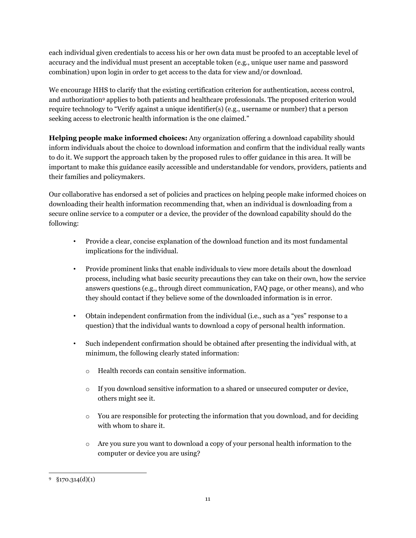each individual given credentials to access his or her own data must be proofed to an acceptable level of accuracy and the individual must present an acceptable token (e.g., unique user name and password combination) upon login in order to get access to the data for view and/or download.

We encourage HHS to clarify that the existing certification criterion for authentication, access control, and authorization<sup>9</sup> applies to both patients and healthcare professionals. The proposed criterion would require technology to "Verify against a unique identifier(s) (e.g., username or number) that a person seeking access to electronic health information is the one claimed."

**Helping people make informed choices:** Any organization offering a download capability should inform individuals about the choice to download information and confirm that the individual really wants to do it. We support the approach taken by the proposed rules to offer guidance in this area. It will be important to make this guidance easily accessible and understandable for vendors, providers, patients and their families and policymakers.

Our collaborative has endorsed a set of policies and practices on helping people make informed choices on downloading their health information recommending that, when an individual is downloading from a secure online service to a computer or a device, the provider of the download capability should do the following:

- Provide a clear, concise explanation of the download function and its most fundamental implications for the individual.
- Provide prominent links that enable individuals to view more details about the download process, including what basic security precautions they can take on their own, how the service answers questions (e.g., through direct communication, FAQ page, or other means), and who they should contact if they believe some of the downloaded information is in error.
- Obtain independent confirmation from the individual (i.e., such as a "yes" response to a question) that the individual wants to download a copy of personal health information.
- Such independent confirmation should be obtained after presenting the individual with, at minimum, the following clearly stated information:
	- o Health records can contain sensitive information.
	- o If you download sensitive information to a shared or unsecured computer or device, others might see it.
	- $\circ$  You are responsible for protecting the information that you download, and for deciding with whom to share it.
	- o Are you sure you want to download a copy of your personal health information to the computer or device you are using?

 $\overline{a}$  $9\quad$  §170.314(d)(1)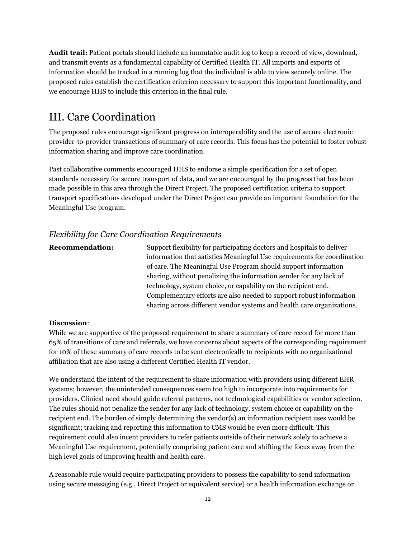**Audit trail:** Patient portals should include an immutable audit log to keep a record of view, download, and transmit events as a fundamental capability of Certified Health IT. All imports and exports of information should be tracked in a running log that the individual is able to view securely online. The proposed rules establish the certification criterion necessary to support this important functionality, and we encourage HHS to include this criterion in the final rule.

# III. Care Coordination

The proposed rules encourage significant progress on interoperability and the use of secure electronic provider-to-provider transactions of summary of care records. This focus has the potential to foster robust information sharing and improve care coordination.

Past collaborative comments encouraged HHS to endorse a simple specification for a set of open standards necessary for secure transport of data, and we are encouraged by the progress that has been made possible in this area through the Direct Project. The proposed certification criteria to support transport specifications developed under the Direct Project can provide an important foundation for the Meaningful Use program.

#### *Flexibility for Care Coordination Requirements*

| Support flexibility for participating doctors and hospitals to deliver  |
|-------------------------------------------------------------------------|
| information that satisfies Meaningful Use requirements for coordination |
| of care. The Meaningful Use Program should support information          |
| sharing, without penalizing the information sender for any lack of      |
| technology, system choice, or capability on the recipient end.          |
| Complementary efforts are also needed to support robust information     |
| sharing across different vendor systems and health care organizations.  |
|                                                                         |

#### **Discussion**:

While we are supportive of the proposed requirement to share a summary of care record for more than 65% of transitions of care and referrals, we have concerns about aspects of the corresponding requirement for 10% of these summary of care records to be sent electronically to recipients with no organizational affiliation that are also using a different Certified Health IT vendor.

We understand the intent of the requirement to share information with providers using different EHR systems; however, the unintended consequences seem too high to incorporate into requirements for providers. Clinical need should guide referral patterns, not technological capabilities or vendor selection. The rules should not penalize the sender for any lack of technology, system choice or capability on the recipient end. The burden of simply determining the vendor(s) an information recipient uses would be significant; tracking and reporting this information to CMS would be even more difficult. This requirement could also incent providers to refer patients outside of their network solely to achieve a Meaningful Use requirement, potentially comprising patient care and shifting the focus away from the high level goals of improving health and health care.

A reasonable rule would require participating providers to possess the capability to send information using secure messaging (e.g., Direct Project or equivalent service) or a health information exchange or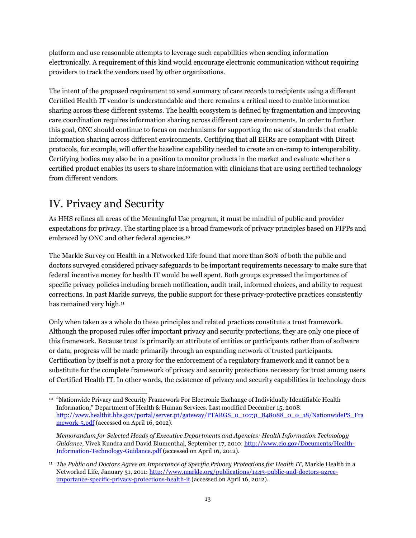platform and use reasonable attempts to leverage such capabilities when sending information electronically. A requirement of this kind would encourage electronic communication without requiring providers to track the vendors used by other organizations.

The intent of the proposed requirement to send summary of care records to recipients using a different Certified Health IT vendor is understandable and there remains a critical need to enable information sharing across these different systems. The health ecosystem is defined by fragmentation and improving care coordination requires information sharing across different care environments. In order to further this goal, ONC should continue to focus on mechanisms for supporting the use of standards that enable information sharing across different environments. Certifying that all EHRs are compliant with Direct protocols, for example, will offer the baseline capability needed to create an on-ramp to interoperability. Certifying bodies may also be in a position to monitor products in the market and evaluate whether a certified product enables its users to share information with clinicians that are using certified technology from different vendors.

# IV. Privacy and Security

As HHS refines all areas of the Meaningful Use program, it must be mindful of public and provider expectations for privacy. The starting place is a broad framework of privacy principles based on FIPPs and embraced by ONC and other federal agencies.<sup>10</sup>

The Markle Survey on Health in a Networked Life found that more than 80% of both the public and doctors surveyed considered privacy safeguards to be important requirements necessary to make sure that federal incentive money for health IT would be well spent. Both groups expressed the importance of specific privacy policies including breach notification, audit trail, informed choices, and ability to request corrections. In past Markle surveys, the public support for these privacy-protective practices consistently has remained very high.<sup>11</sup>

Only when taken as a whole do these principles and related practices constitute a trust framework. Although the proposed rules offer important privacy and security protections, they are only one piece of this framework. Because trust is primarily an attribute of entities or participants rather than of software or data, progress will be made primarily through an expanding network of trusted participants. Certification by itself is not a proxy for the enforcement of a regulatory framework and it cannot be a substitute for the complete framework of privacy and security protections necessary for trust among users of Certified Health IT. In other words, the existence of privacy and security capabilities in technology does

 $\overline{a}$ <sup>10</sup> "Nationwide Privacy and Security Framework For Electronic Exchange of Individually Identifiable Health Information," Department of Health & Human Services. Last modified December 15, 2008. [http://www.healthit.hhs.gov/portal/server.pt/gateway/PTARGS\\_0\\_10731\\_848088\\_0\\_0\\_18/NationwidePS\\_Fra](http://www.healthit.hhs.gov/portal/server.pt/gateway/PTARGS_0_10731_848088_0_0_18/NationwidePS_Framework-5.pdf) [mework-5.pdf](http://www.healthit.hhs.gov/portal/server.pt/gateway/PTARGS_0_10731_848088_0_0_18/NationwidePS_Framework-5.pdf) (accessed on April 16, 2012).

*Memorandum for Selected Heads of Executive Departments and Agencies: Health Information Technology Guidance,* Vivek Kundra and David Blumenthal, September 17, 2010: [http://www.cio.gov/Documents/Health-](http://www.cio.gov/Documents/Health-Information-Technology-Guidance.pdf)[Information-Technology-Guidance.pdf](http://www.cio.gov/Documents/Health-Information-Technology-Guidance.pdf) (accessed on April 16, 2012).

<sup>11</sup> *The Public and Doctors Agree on Importance of Specific Privacy Protections for Health IT*, Markle Health in a Networked Life, January 31, 2011: [http://www.markle.org/publications/1443-public-and-doctors-agree](http://www.markle.org/publications/1443-public-and-doctors-agree-importance-specific-privacy-protections-health-it)[importance-specific-privacy-protections-health-it](http://www.markle.org/publications/1443-public-and-doctors-agree-importance-specific-privacy-protections-health-it) (accessed on April 16, 2012).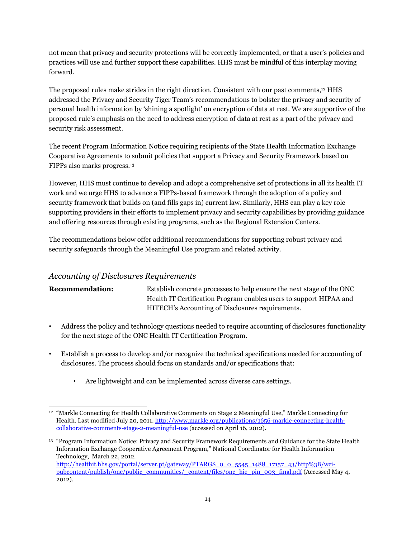not mean that privacy and security protections will be correctly implemented, or that a user's policies and practices will use and further support these capabilities. HHS must be mindful of this interplay moving forward.

The proposed rules make strides in the right direction. Consistent with our past comments,<sup>12</sup> HHS addressed the Privacy and Security Tiger Team's recommendations to bolster the privacy and security of personal health information by 'shining a spotlight' on encryption of data at rest. We are supportive of the proposed rule's emphasis on the need to address encryption of data at rest as a part of the privacy and security risk assessment.

The recent Program Information Notice requiring recipients of the State Health Information Exchange Cooperative Agreements to submit policies that support a Privacy and Security Framework based on FIPPs also marks progress.<sup>13</sup>

However, HHS must continue to develop and adopt a comprehensive set of protections in all its health IT work and we urge HHS to advance a FIPPs-based framework through the adoption of a policy and security framework that builds on (and fills gaps in) current law. Similarly, HHS can play a key role supporting providers in their efforts to implement privacy and security capabilities by providing guidance and offering resources through existing programs, such as the Regional Extension Centers.

The recommendations below offer additional recommendations for supporting robust privacy and security safeguards through the Meaningful Use program and related activity.

#### *Accounting of Disclosures Requirements*

### **Recommendation:** Establish concrete processes to help ensure the next stage of the ONC Health IT Certification Program enables users to support HIPAA and HITECH's Accounting of Disclosures requirements.

- Address the policy and technology questions needed to require accounting of disclosures functionality for the next stage of the ONC Health IT Certification Program.
- Establish a process to develop and/or recognize the technical specifications needed for accounting of disclosures. The process should focus on standards and/or specifications that:
	- Are lightweight and can be implemented across diverse care settings.

 $\overline{a}$ <sup>12</sup> "Markle Connecting for Health Collaborative Comments on Stage 2 Meaningful Use," Markle Connecting for Health. Last modified July 20, 2011[. http://www.markle.org/publications/1656-markle-connecting-health](http://www.markle.org/publications/1656-markle-connecting-health-collaborative-comments-stage-2-meaningful-use)[collaborative-comments-stage-2-meaningful-use](http://www.markle.org/publications/1656-markle-connecting-health-collaborative-comments-stage-2-meaningful-use) (accessed on April 16, 2012).

<sup>&</sup>lt;sup>13</sup> "Program Information Notice: Privacy and Security Framework Requirements and Guidance for the State Health Information Exchange Cooperative Agreement Program," National Coordinator for Health Information Technology, March 22, 2012. [http://healthit.hhs.gov/portal/server.pt/gateway/PTARGS\\_0\\_0\\_5545\\_1488\\_17157\\_43/http%3B/wci](http://healthit.hhs.gov/portal/server.pt/gateway/PTARGS_0_0_5545_1488_17157_43/http%3B/wci-pubcontent/publish/onc/public_communities/_content/files/onc_hie_pin_003_final.pdf)[pubcontent/publish/onc/public\\_communities/\\_content/files/onc\\_hie\\_pin\\_003\\_final.pdf](http://healthit.hhs.gov/portal/server.pt/gateway/PTARGS_0_0_5545_1488_17157_43/http%3B/wci-pubcontent/publish/onc/public_communities/_content/files/onc_hie_pin_003_final.pdf) (Accessed May 4, 2012).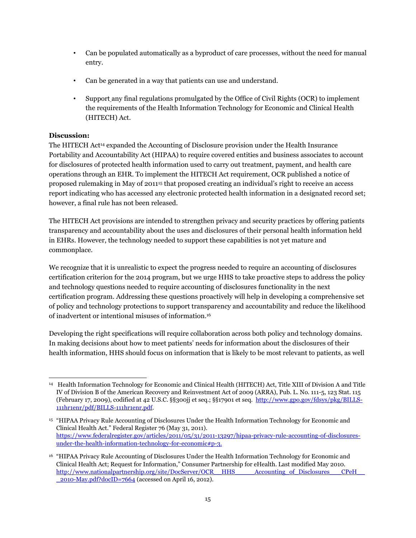- Can be populated automatically as a byproduct of care processes, without the need for manual entry.
- Can be generated in a way that patients can use and understand.
- Support any final regulations promulgated by the Office of Civil Rights (OCR) to implement the requirements of the Health Information Technology for Economic and Clinical Health (HITECH) Act.

#### **Discussion:**

The HITECH Act<sup>14</sup> expanded the Accounting of Disclosure provision under the Health Insurance Portability and Accountability Act (HIPAA) to require covered entities and business associates to account for disclosures of protected health information used to carry out treatment, payment, and health care operations through an EHR. To implement the HITECH Act requirement, OCR published a notice of proposed rulemaking in May of 2011<sup>15</sup> that proposed creating an individual's right to receive an access report indicating who has accessed any electronic protected health information in a designated record set; however, a final rule has not been released.

The HITECH Act provisions are intended to strengthen privacy and security practices by offering patients transparency and accountability about the uses and disclosures of their personal health information held in EHRs. However, the technology needed to support these capabilities is not yet mature and commonplace.

We recognize that it is unrealistic to expect the progress needed to require an accounting of disclosures certification criterion for the 2014 program, but we urge HHS to take proactive steps to address the policy and technology questions needed to require accounting of disclosures functionality in the next certification program. Addressing these questions proactively will help in developing a comprehensive set of policy and technology protections to support transparency and accountability and reduce the likelihood of inadvertent or intentional misuses of information.<sup>16</sup>

Developing the right specifications will require collaboration across both policy and technology domains. In making decisions about how to meet patients' needs for information about the disclosures of their health information, HHS should focus on information that is likely to be most relevant to patients, as well

 $\overline{a}$ <sup>14</sup> Health Information Technology for Economic and Clinical Health (HITECH) Act, Title XIII of Division A and Title IV of Division B of the American Recovery and Reinvestment Act of 2009 (ARRA), Pub. L. No. 111-5, 123 Stat. 115 (February 17, 2009), codified at 42 U.S.C. §§300jj et seq.; §§17901 et seq. [http://www.gpo.gov/fdsys/pkg/BILLS-](http://www.gpo.gov/fdsys/pkg/BILLS-111hr1enr/pdf/BILLS-111hr1enr.pdf)[111hr1enr/pdf/BILLS-111hr1enr.pdf.](http://www.gpo.gov/fdsys/pkg/BILLS-111hr1enr/pdf/BILLS-111hr1enr.pdf) 

<sup>15</sup> "HIPAA Privacy Rule Accounting of Disclosures Under the Health Information Technology for Economic and Clinical Health Act." Federal Register 76 (May 31, 2011). https://www.federalregister.gov/articles/2011/05/31/2011-13297/hipaa-privacy-rule-accounting-of-disclosuresunder-the-health-information-technology-for-economic#p-3.

<sup>16</sup> "HIPAA Privacy Rule Accounting of Disclosures Under the Health Information Technology for Economic and Clinical Health Act; Request for Information," Consumer Partnership for eHealth. Last modified May 2010. [http://www.nationalpartnership.org/site/DocServer/OCR\\_\\_HHS\\_\\_\\_\\_\\_Accounting\\_of\\_Disclosures\\_\\_\\_CPeH\\_\\_](http://www.nationalpartnership.org/site/DocServer/OCR__HHS_____Accounting_of_Disclosures___CPeH___2010-May.pdf?docID=7664) [\\_2010-May.pdf?docID=7664](http://www.nationalpartnership.org/site/DocServer/OCR__HHS_____Accounting_of_Disclosures___CPeH___2010-May.pdf?docID=7664) (accessed on April 16, 2012).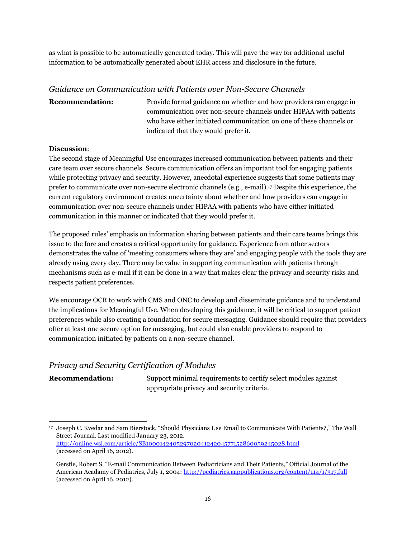as what is possible to be automatically generated today. This will pave the way for additional useful information to be automatically generated about EHR access and disclosure in the future.

#### *Guidance on Communication with Patients over Non-Secure Channels*

### **Recommendation:** Provide formal guidance on whether and how providers can engage in communication over non-secure channels under HIPAA with patients who have either initiated communication on one of these channels or indicated that they would prefer it.

#### **Discussion**:

The second stage of Meaningful Use encourages increased communication between patients and their care team over secure channels. Secure communication offers an important tool for engaging patients while protecting privacy and security. However, anecdotal experience suggests that some patients may prefer to communicate over non-secure electronic channels (e.g., e-mail). <sup>17</sup> Despite this experience, the current regulatory environment creates uncertainty about whether and how providers can engage in communication over non-secure channels under HIPAA with patients who have either initiated communication in this manner or indicated that they would prefer it.

The proposed rules' emphasis on information sharing between patients and their care teams brings this issue to the fore and creates a critical opportunity for guidance. Experience from other sectors demonstrates the value of 'meeting consumers where they are' and engaging people with the tools they are already using every day. There may be value in supporting communication with patients through mechanisms such as e-mail if it can be done in a way that makes clear the privacy and security risks and respects patient preferences.

We encourage OCR to work with CMS and ONC to develop and disseminate guidance and to understand the implications for Meaningful Use. When developing this guidance, it will be critical to support patient preferences while also creating a foundation for secure messaging. Guidance should require that providers offer at least one secure option for messaging, but could also enable providers to respond to communication initiated by patients on a non-secure channel.

#### *Privacy and Security Certification of Modules*

**Recommendation:** Support minimal requirements to certify select modules against appropriate privacy and security criteria.

 $\overline{a}$ <sup>17</sup> Joseph C. Kvedar and Sam Bierstock, "Should Physicians Use Email to Communicate With Patients?," The Wall Street Journal. Last modified January 23, 2012. <http://online.wsj.com/article/SB10001424052970204124204577152860059245028.html> (accessed on April 16, 2012).

Gerstle, Robert S, "E-mail Communication Between Pediatricians and Their Patients," Official Journal of the American Acadamy of Pediatrics, July 1, 2004:<http://pediatrics.aappublications.org/content/114/1/317.full> (accessed on April 16, 2012).